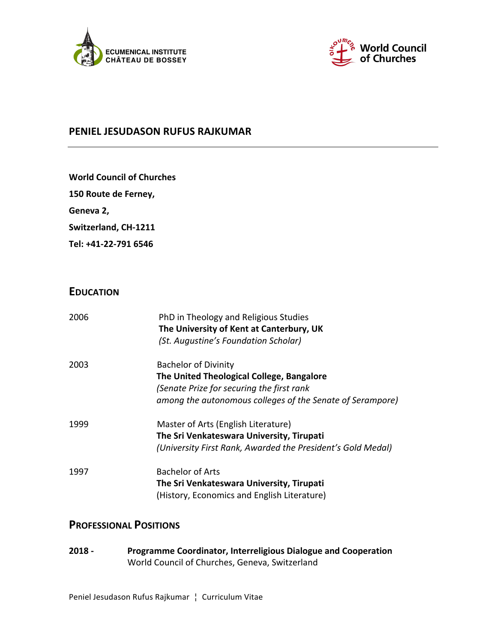



### **PENIEL JESUDASON RUFUS RAJKUMAR**

|  | <b>World Council of Churches</b> |  |  |  |
|--|----------------------------------|--|--|--|
|--|----------------------------------|--|--|--|

**150 Route de Ferney,** 

Geneva 2,

Switzerland, CH-1211

**Tel: +41-22-791 6546**

# **EDUCATION**

| 2006 | PhD in Theology and Religious Studies<br>The University of Kent at Canterbury, UK<br>(St. Augustine's Foundation Scholar)                                                          |
|------|------------------------------------------------------------------------------------------------------------------------------------------------------------------------------------|
| 2003 | <b>Bachelor of Divinity</b><br>The United Theological College, Bangalore<br>(Senate Prize for securing the first rank<br>among the autonomous colleges of the Senate of Serampore) |
| 1999 | Master of Arts (English Literature)<br>The Sri Venkateswara University, Tirupati<br>(University First Rank, Awarded the President's Gold Medal)                                    |
| 1997 | <b>Bachelor of Arts</b><br>The Sri Venkateswara University, Tirupati<br>(History, Economics and English Literature)                                                                |

# **PROFESSIONAL POSITIONS**

**2018 -** Programme Coordinator, Interreligious Dialogue and Cooperation World Council of Churches, Geneva, Switzerland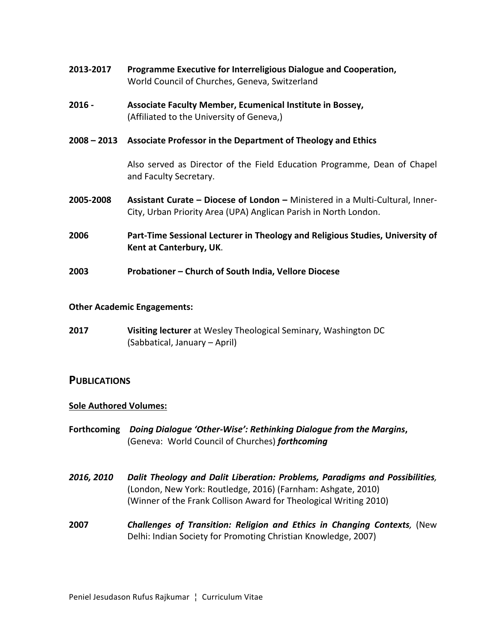| 2013-2017 | Programme Executive for Interreligious Dialogue and Cooperation, |  |
|-----------|------------------------------------------------------------------|--|
|           | World Council of Churches, Geneva, Switzerland                   |  |

- **2016 Associate Faculty Member, Ecumenical Institute in Bossey,** (Affiliated to the University of Geneva,)
- **2008** 2013 Associate Professor in the Department of Theology and Ethics

Also served as Director of the Field Education Programme, Dean of Chapel and Faculty Secretary.

- **2005-2008** Assistant Curate Diocese of London Ministered in a Multi-Cultural, Inner-City, Urban Priority Area (UPA) Anglican Parish in North London.
- **2006 Part-Time Sessional Lecturer in Theology and Religious Studies, University of Kent at Canterbury, UK.**
- **2003 Probationer Church of South India, Vellore Diocese**

#### **Other Academic Engagements:**

**2017 Visiting lecturer** at Wesley Theological Seminary, Washington DC (Sabbatical, January – April)

### **PUBLICATIONS**

#### **Sole Authored Volumes:**

- Forthcoming *Doing Dialogue 'Other-Wise':* Rethinking Dialogue from the Margins, (Geneva: World Council of Churches) *forthcoming*
- **2016, 2010 Dalit Theology and Dalit Liberation: Problems, Paradigms and Possibilities,** (London, New York: Routledge, 2016) (Farnham: Ashgate, 2010) (Winner of the Frank Collison Award for Theological Writing 2010)
- **2007** *Challenges of Transition: Religion and Ethics in Changing Contexts,* (New Delhi: Indian Society for Promoting Christian Knowledge, 2007)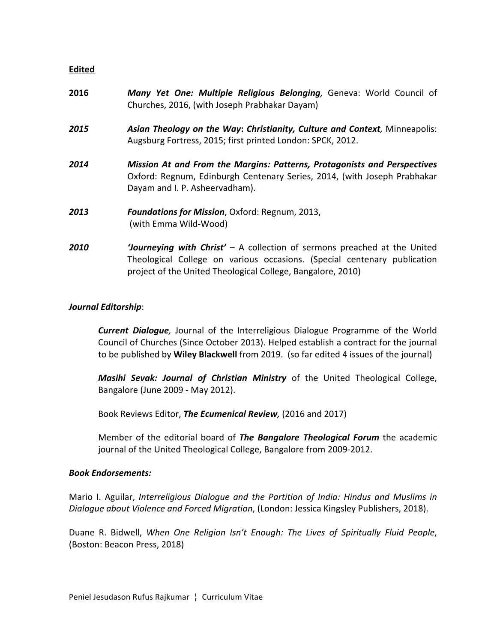#### **Edited**

| 2016 | Many Yet One: Multiple Religious Belonging, Geneva: World Council of<br>Churches, 2016, (with Joseph Prabhakar Dayam)                                                                         |
|------|-----------------------------------------------------------------------------------------------------------------------------------------------------------------------------------------------|
| 2015 | Asian Theology on the Way: Christianity, Culture and Context, Minneapolis:<br>Augsburg Fortress, 2015; first printed London: SPCK, 2012.                                                      |
| 2014 | <b>Mission At and From the Margins: Patterns, Protagonists and Perspectives</b><br>Oxford: Regnum, Edinburgh Centenary Series, 2014, (with Joseph Prabhakar<br>Dayam and I. P. Asheervadham). |
| 2013 | <b>Foundations for Mission, Oxford: Regnum, 2013,</b><br>(with Emma Wild-Wood)                                                                                                                |
| 2010 | <b>Journeying with Christ'</b> – A collection of sermons preached at the United<br>Theological College on various occasions. (Special centenary publication                                   |

project of the United Theological College, Bangalore, 2010)

#### *Journal Editorship*:

*Current Dialoque*, Journal of the Interreligious Dialogue Programme of the World Council of Churches (Since October 2013). Helped establish a contract for the journal to be published by **Wiley Blackwell** from 2019. (so far edited 4 issues of the journal)

*Masihi Sevak: Journal of Christian Ministry* of the United Theological College, Bangalore (June 2009 - May 2012).

Book Reviews Editor, **The Ecumenical Review**, (2016 and 2017)

Member of the editorial board of **The Bangalore Theological Forum** the academic journal of the United Theological College, Bangalore from 2009-2012.

#### *Book Endorsements:*

Mario I. Aguilar, *Interreligious Dialogue and the Partition of India: Hindus and Muslims in Dialoque about Violence and Forced Migration*, (London: Jessica Kingsley Publishers, 2018).

Duane R. Bidwell, *When One Religion Isn't Enough: The Lives of Spiritually Fluid People*, (Boston: Beacon Press, 2018)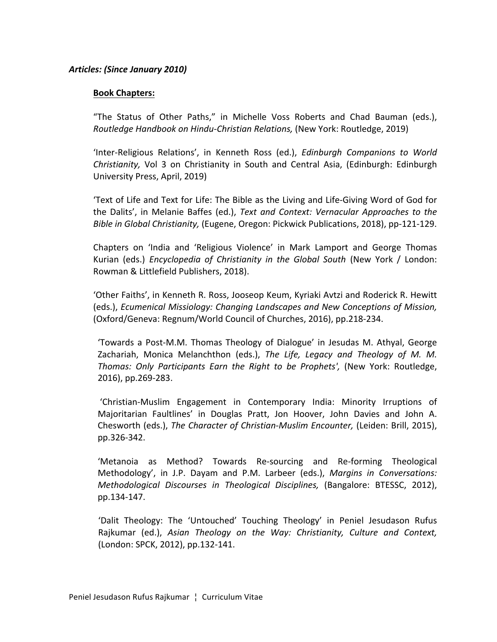#### *Articles: (Since January 2010)*

#### **Book Chapters:**

"The Status of Other Paths," in Michelle Voss Roberts and Chad Bauman (eds.), *Routledge Handbook on Hindu-Christian Relations,* (New York: Routledge, 2019)

'Inter-Religious Relations', in Kenneth Ross (ed.), *Edinburgh Companions to World Christianity,* Vol 3 on Christianity in South and Central Asia, (Edinburgh: Edinburgh University Press, April, 2019)

'Text of Life and Text for Life: The Bible as the Living and Life-Giving Word of God for the Dalits', in Melanie Baffes (ed.), *Text and Context: Vernacular Approaches to the Bible in Global Christianity,* (Eugene, Oregon: Pickwick Publications, 2018), pp-121-129.

Chapters on 'India and 'Religious Violence' in Mark Lamport and George Thomas Kurian (eds.) *Encyclopedia of Christianity in the Global South* (New York / London: Rowman & Littlefield Publishers, 2018).

'Other Faiths', in Kenneth R. Ross, Jooseop Keum, Kyriaki Avtzi and Roderick R. Hewitt (eds.), *Ecumenical Missiology: Changing Landscapes and New Conceptions of Mission,* (Oxford/Geneva: Regnum/World Council of Churches, 2016), pp.218-234.

'Towards a Post-M.M. Thomas Theology of Dialogue' in Jesudas M. Athyal, George Zachariah, Monica Melanchthon (eds.), *The Life, Legacy and Theology of M. M. Thomas:* Only Participants Earn the Right to be Prophets', (New York: Routledge, 2016), pp.269-283.

'Christian-Muslim Engagement in Contemporary India: Minority Irruptions of Majoritarian Faultlines' in Douglas Pratt, Jon Hoover, John Davies and John A. Chesworth (eds.), *The Character of Christian-Muslim Encounter*, (Leiden: Brill, 2015), pp.326-342.

'Metanoia as Method? Towards Re-sourcing and Re-forming Theological Methodology', in J.P. Dayam and P.M. Larbeer (eds.), *Margins in Conversations: Methodological Discourses in Theological Disciplines,*  (Bangalore: BTESSC, 2012), pp.134-147.

'Dalit Theology: The 'Untouched' Touching Theology' in Peniel Jesudason Rufus Rajkumar (ed.), *Asian Theology on the Way: Christianity, Culture and Context,* (London: SPCK, 2012), pp.132-141.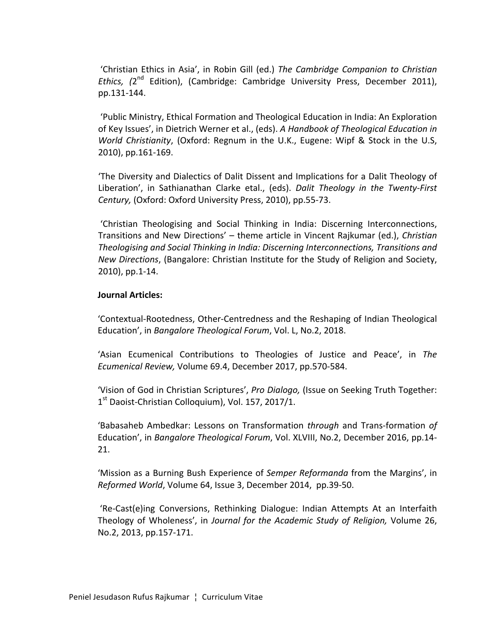'Christian Ethics in Asia', in Robin Gill (ed.) The Cambridge Companion to Christian *Ethics,* (2<sup>nd</sup> Edition), (Cambridge: Cambridge University Press, December 2011), pp.131-144.

'Public Ministry, Ethical Formation and Theological Education in India: An Exploration of Key Issues', in Dietrich Werner et al., (eds). A Handbook of Theological Education in *World Christianity*, (Oxford: Regnum in the U.K., Eugene: Wipf & Stock in the U.S, 2010), pp.161-169.

'The Diversity and Dialectics of Dalit Dissent and Implications for a Dalit Theology of Liberation', in Sathianathan Clarke etal., (eds). *Dalit Theology in the Twenty-First Century,* (Oxford: Oxford University Press, 2010), pp.55-73.

'Christian Theologising and Social Thinking in India: Discerning Interconnections, Transitions and New Directions' - theme article in Vincent Rajkumar (ed.), *Christian* Theologising and Social Thinking in India: Discerning Interconnections, Transitions and *New Directions*, (Bangalore: Christian Institute for the Study of Religion and Society, 2010), pp.1-14.

#### **Journal Articles:**

'Contextual-Rootedness, Other-Centredness and the Reshaping of Indian Theological Education', in *Bangalore Theological Forum*, Vol. L, No.2, 2018.

**Asian Ecumenical Contributions to Theologies of Justice and Peace', in The** *Ecumenical Review,* Volume 69.4, December 2017, pp.570-584.

'Vision of God in Christian Scriptures', *Pro Dialogo*, (Issue on Seeking Truth Together:  $1<sup>st</sup>$  Daoist-Christian Colloquium), Vol. 157, 2017/1.

'Babasaheb Ambedkar: Lessons on Transformation *through*  and Trans-formation *of* Education', in *Bangalore Theological Forum*, Vol. XLVIII, No.2, December 2016, pp.14-21.

'Mission as a Burning Bush Experience of *Semper Reformanda* from the Margins', in *Reformed World*, Volume 64, Issue 3, December 2014, pp.39-50.

'Re-Cast(e)ing Conversions, Rethinking Dialogue: Indian Attempts At an Interfaith Theology of Wholeness', in *Journal for the Academic Study of Religion*, Volume 26, No.2, 2013, pp.157-171.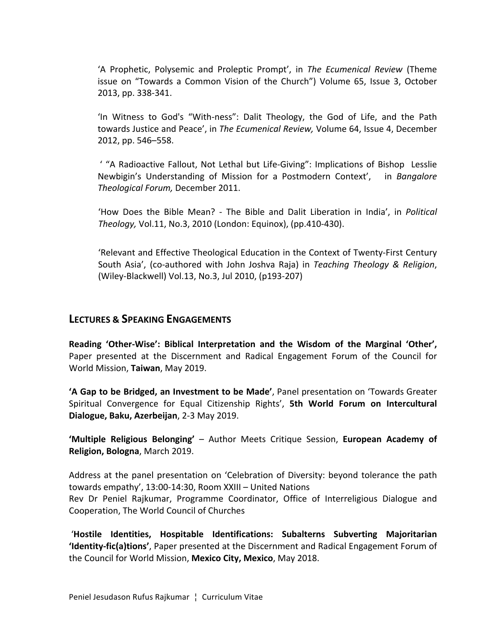'A Prophetic, Polysemic and Proleptic Prompt', in The Ecumenical Review (Theme issue on "Towards a Common Vision of the Church") Volume 65, Issue 3, October 2013, pp. 338-341.

'In Witness to God's "With-ness": Dalit Theology, the God of Life, and the Path towards Justice and Peace', in The Ecumenical Review, Volume 64, Issue 4, December 2012, pp. 546–558.

' "A Radioactive Fallout, Not Lethal but Life-Giving": Implications of Bishop Lesslie Newbigin's Understanding of Mission for a Postmodern Context', in *Bangalore Theological Forum,* December 2011.

'How Does the Bible Mean? - The Bible and Dalit Liberation in India', in *Political Theology, Vol.11, No.3, 2010* (London: Equinox), (pp.410-430).

'Relevant and Effective Theological Education in the Context of Twenty-First Century South Asia', (co-authored with John Joshva Raja) in *Teaching Theology & Religion*, (Wiley-Blackwell) Vol.13, No.3, Jul 2010, (p193-207)

### **LECTURES & SPEAKING ENGAGEMENTS**

**Reading 'Other-Wise': Biblical Interpretation and the Wisdom of the Marginal 'Other',** Paper presented at the Discernment and Radical Engagement Forum of the Council for World Mission, **Taiwan**, May 2019.

'A Gap to be Bridged, an Investment to be Made', Panel presentation on 'Towards Greater Spiritual Convergence for Equal Citizenship Rights', 5th World Forum on Intercultural **Dialogue, Baku, Azerbeijan**, 2-3 May 2019.

**'Multiple Religious Belonging'** – Author Meets Critique Session, European Academy of **Religion, Bologna, March 2019.** 

Address at the panel presentation on 'Celebration of Diversity: beyond tolerance the path towards empathy', 13:00-14:30, Room XXIII – United Nations Rev Dr Peniel Rajkumar, Programme Coordinator, Office of Interreligious Dialogue and Cooperation, The World Council of Churches

'Hostile Identities, Hospitable Identifications: Subalterns Subverting Majoritarian **'Identity-fic(a)tions'**, Paper presented at the Discernment and Radical Engagement Forum of the Council for World Mission, Mexico City, Mexico, May 2018.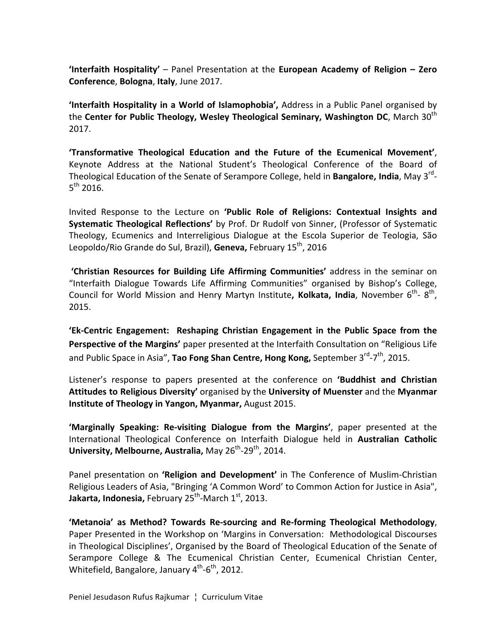**'Interfaith Hospitality'** – Panel Presentation at the **European Academy of Religion – Zero Conference**, **Bologna**, **Italy**, June 2017.

**'Interfaith Hospitality in a World of Islamophobia',** Address in a Public Panel organised by the **Center for Public Theology, Wesley Theological Seminary, Washington DC**, March 30<sup>th</sup> 2017. 

**'Transformative Theological Education and the Future of the Ecumenical Movement'**, Keynote Address at the National Student's Theological Conference of the Board of Theological Education of the Senate of Serampore College, held in **Bangalore, India**, May 3<sup>rd</sup>- $5^{th}$  2016.

Invited Response to the Lecture on **'Public Role of Religions: Contextual Insights and Systematic Theological Reflections'** by Prof. Dr Rudolf von Sinner, (Professor of Systematic Theology, Ecumenics and Interreligious Dialogue at the Escola Superior de Teologia, São Leopoldo/Rio Grande do Sul, Brazil), **Geneva,** February 15<sup>th</sup>, 2016

**'Christian Resources for Building Life Affirming Communities'** address in the seminar on "Interfaith Dialogue Towards Life Affirming Communities" organised by Bishop's College, Council for World Mission and Henry Martyn Institute, Kolkata, India, November 6<sup>th</sup>- 8<sup>th</sup>, 2015.

**'Ek-Centric Engagement: Reshaping Christian Engagement in the Public Space from the** Perspective of the Margins' paper presented at the Interfaith Consultation on "Religious Life and Public Space in Asia", Tao Fong Shan Centre, Hong Kong, September 3<sup>rd</sup>-7<sup>th</sup>, 2015.

Listener's response to papers presented at the conference on 'Buddhist and Christian Attitudes to Religious Diversity' organised by the University of Muenster and the Myanmar **Institute of Theology in Yangon, Myanmar, August 2015.** 

**'Marginally Speaking: Re-visiting Dialogue from the Margins'**, paper presented at the International Theological Conference on Interfaith Dialogue held in **Australian Catholic University, Melbourne, Australia, May 26<sup>th</sup>-29<sup>th</sup>, 2014.** 

Panel presentation on **'Religion and Development'** in The Conference of Muslim-Christian Religious Leaders of Asia, "Bringing 'A Common Word' to Common Action for Justice in Asia", **Jakarta, Indonesia, February 25<sup>th</sup>-March 1<sup>st</sup>, 2013.** 

**'Metanoia' as Method? Towards Re-sourcing and Re-forming Theological Methodology**, Paper Presented in the Workshop on 'Margins in Conversation: Methodological Discourses in Theological Disciplines', Organised by the Board of Theological Education of the Senate of Serampore College & The Ecumenical Christian Center, Ecumenical Christian Center, Whitefield, Bangalore, January  $4^{th}$ -6<sup>th</sup>, 2012.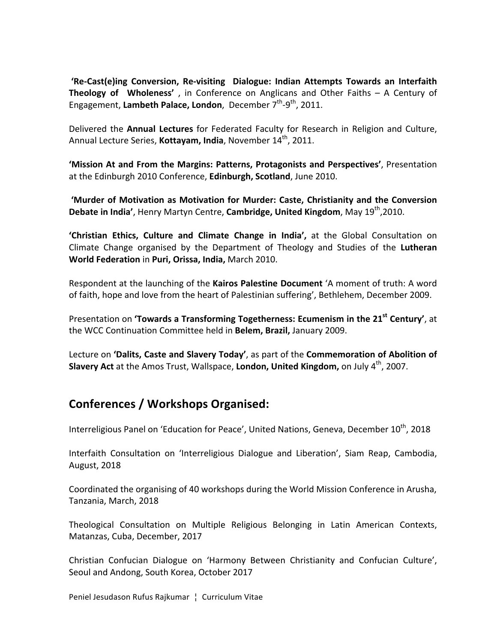**'Re-Cast(e)ing Conversion, Re-visiting Dialogue: Indian Attempts Towards an Interfaith Theology of Wholeness'**, in Conference on Anglicans and Other Faiths – A Century of Engagement, Lambeth Palace, London, December 7<sup>th</sup>-9<sup>th</sup>, 2011.

Delivered the Annual Lectures for Federated Faculty for Research in Religion and Culture, Annual Lecture Series, **Kottayam, India**, November 14<sup>th</sup>, 2011.

'Mission At and From the Margins: Patterns, Protagonists and Perspectives', Presentation at the Edinburgh 2010 Conference, **Edinburgh, Scotland**, June 2010.

'Murder of Motivation as Motivation for Murder: Caste, Christianity and the Conversion **Debate in India'**, Henry Martyn Centre, **Cambridge, United Kingdom**, May 19<sup>th</sup>,2010.

'Christian Ethics, Culture and Climate Change in India', at the Global Consultation on Climate Change organised by the Department of Theology and Studies of the Lutheran **World Federation** in **Puri, Orissa, India,** March 2010.

Respondent at the launching of the **Kairos Palestine Document** 'A moment of truth: A word of faith, hope and love from the heart of Palestinian suffering', Bethlehem, December 2009.

Presentation on **'Towards a Transforming Togetherness: Ecumenism in the 21<sup>st</sup> Century'**, at the WCC Continuation Committee held in Belem, Brazil, January 2009.

Lecture on 'Dalits, Caste and Slavery Today', as part of the Commemoration of Abolition of **Slavery Act** at the Amos Trust, Wallspace, London, United Kingdom, on July 4<sup>th</sup>, 2007.

# **Conferences / Workshops Organised:**

Interreligious Panel on 'Education for Peace', United Nations, Geneva, December  $10^{th}$ , 2018

Interfaith Consultation on 'Interreligious Dialogue and Liberation', Siam Reap, Cambodia, August, 2018

Coordinated the organising of 40 workshops during the World Mission Conference in Arusha, Tanzania, March, 2018

Theological Consultation on Multiple Religious Belonging in Latin American Contexts, Matanzas, Cuba, December, 2017

Christian Confucian Dialogue on 'Harmony Between Christianity and Confucian Culture', Seoul and Andong, South Korea, October 2017

Peniel Jesudason Rufus Rajkumar | Curriculum Vitae